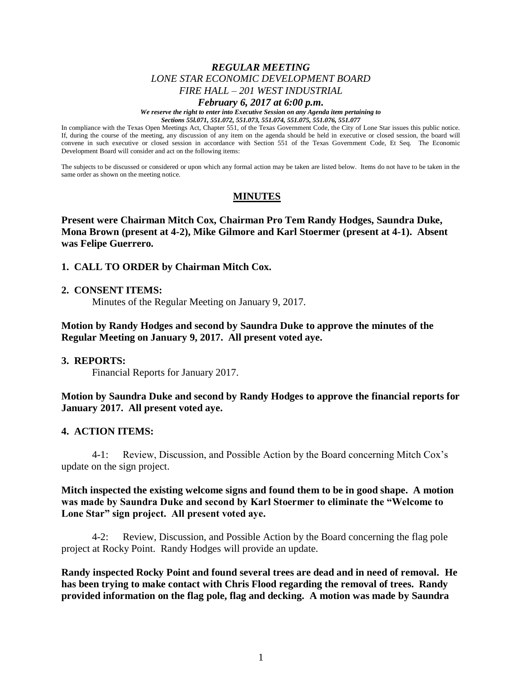# *REGULAR MEETING LONE STAR ECONOMIC DEVELOPMENT BOARD FIRE HALL – 201 WEST INDUSTRIAL*

#### *February 6, 2017 at 6:00 p.m.*

*We reserve the right to enter into Executive Session on any Agenda item pertaining to Sections 55l.071, 551.072, 551.073, 551.074, 551.075, 551.076, 551.077*

In compliance with the Texas Open Meetings Act, Chapter 551, of the Texas Government Code, the City of Lone Star issues this public notice. If, during the course of the meeting, any discussion of any item on the agenda should be held in executive or closed session, the board will convene in such executive or closed session in accordance with Section 551 of the Texas Government Code, Et Seq. The Economic Development Board will consider and act on the following items:

The subjects to be discussed or considered or upon which any formal action may be taken are listed below. Items do not have to be taken in the same order as shown on the meeting notice.

# **MINUTES**

**Present were Chairman Mitch Cox, Chairman Pro Tem Randy Hodges, Saundra Duke, Mona Brown (present at 4-2), Mike Gilmore and Karl Stoermer (present at 4-1). Absent was Felipe Guerrero.**

### **1. CALL TO ORDER by Chairman Mitch Cox.**

#### **2. CONSENT ITEMS:**

Minutes of the Regular Meeting on January 9, 2017.

**Motion by Randy Hodges and second by Saundra Duke to approve the minutes of the Regular Meeting on January 9, 2017. All present voted aye.**

#### **3. REPORTS:**

Financial Reports for January 2017.

### **Motion by Saundra Duke and second by Randy Hodges to approve the financial reports for January 2017. All present voted aye.**

#### **4. ACTION ITEMS:**

4-1: Review, Discussion, and Possible Action by the Board concerning Mitch Cox's update on the sign project.

## **Mitch inspected the existing welcome signs and found them to be in good shape. A motion was made by Saundra Duke and second by Karl Stoermer to eliminate the "Welcome to Lone Star" sign project. All present voted aye.**

4-2: Review, Discussion, and Possible Action by the Board concerning the flag pole project at Rocky Point. Randy Hodges will provide an update.

**Randy inspected Rocky Point and found several trees are dead and in need of removal. He has been trying to make contact with Chris Flood regarding the removal of trees. Randy provided information on the flag pole, flag and decking. A motion was made by Saundra**